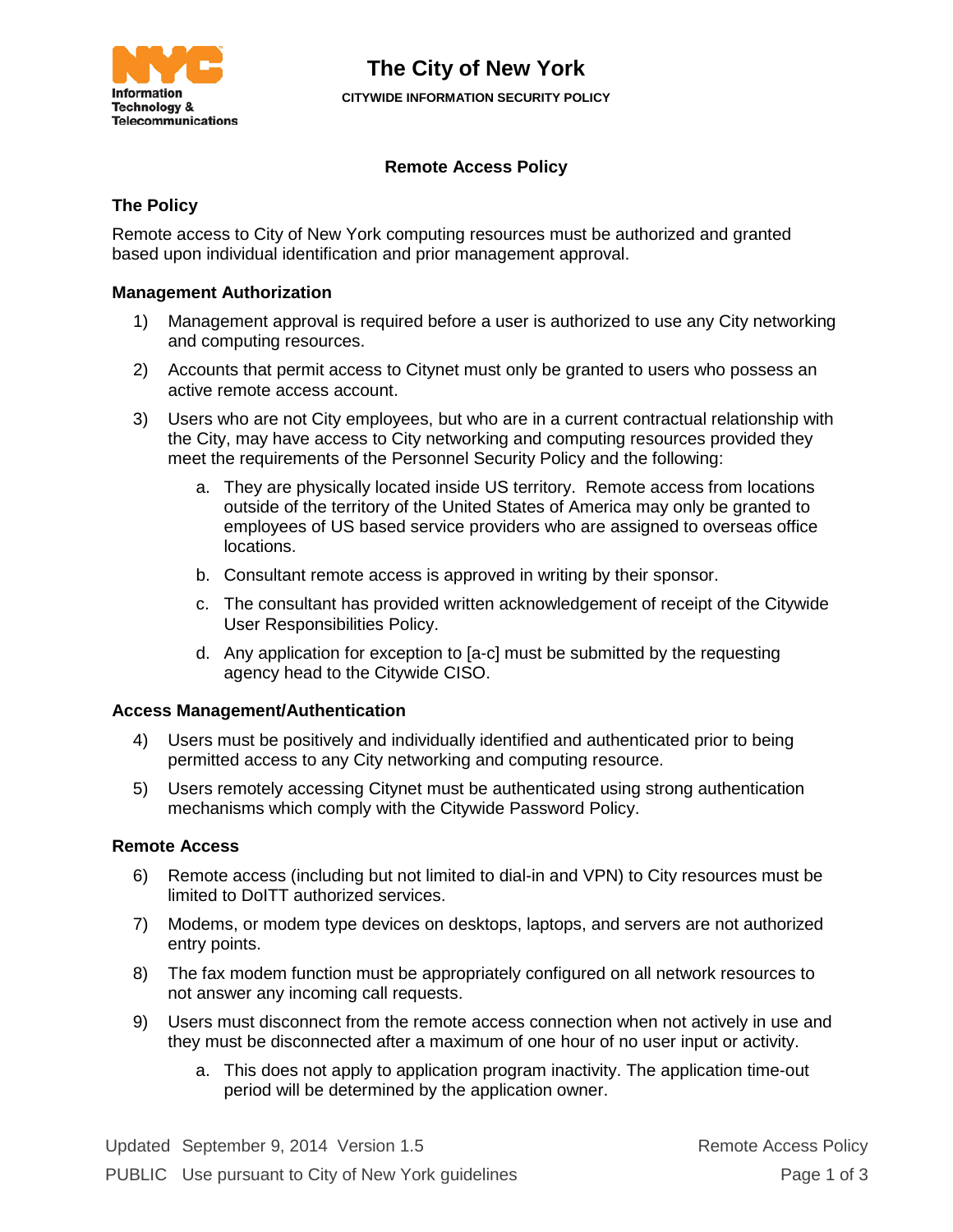

# **The City of New York**

**CITYWIDE INFORMATION SECURITY POLICY**

# **Remote Access Policy**

## **The Policy**

Remote access to City of New York computing resources must be authorized and granted based upon individual identification and prior management approval.

## **Management Authorization**

- 1) Management approval is required before a user is authorized to use any City networking and computing resources.
- 2) Accounts that permit access to Citynet must only be granted to users who possess an active remote access account.
- 3) Users who are not City employees, but who are in a current contractual relationship with the City, may have access to City networking and computing resources provided they meet the requirements of the Personnel Security Policy and the following:
	- a. They are physically located inside US territory. Remote access from locations outside of the territory of the United States of America may only be granted to employees of US based service providers who are assigned to overseas office locations.
	- b. Consultant remote access is approved in writing by their sponsor.
	- c. The consultant has provided written acknowledgement of receipt of the Citywide User Responsibilities Policy.
	- d. Any application for exception to [a-c] must be submitted by the requesting agency head to the Citywide CISO.

## **Access Management/Authentication**

- 4) Users must be positively and individually identified and authenticated prior to being permitted access to any City networking and computing resource.
- 5) Users remotely accessing Citynet must be authenticated using strong authentication mechanisms which comply with the Citywide Password Policy.

#### **Remote Access**

- 6) Remote access (including but not limited to dial-in and VPN) to City resources must be limited to DoITT authorized services.
- 7) Modems, or modem type devices on desktops, laptops, and servers are not authorized entry points.
- 8) The fax modem function must be appropriately configured on all network resources to not answer any incoming call requests.
- 9) Users must disconnect from the remote access connection when not actively in use and they must be disconnected after a maximum of one hour of no user input or activity.
	- a. This does not apply to application program inactivity. The application time-out period will be determined by the application owner.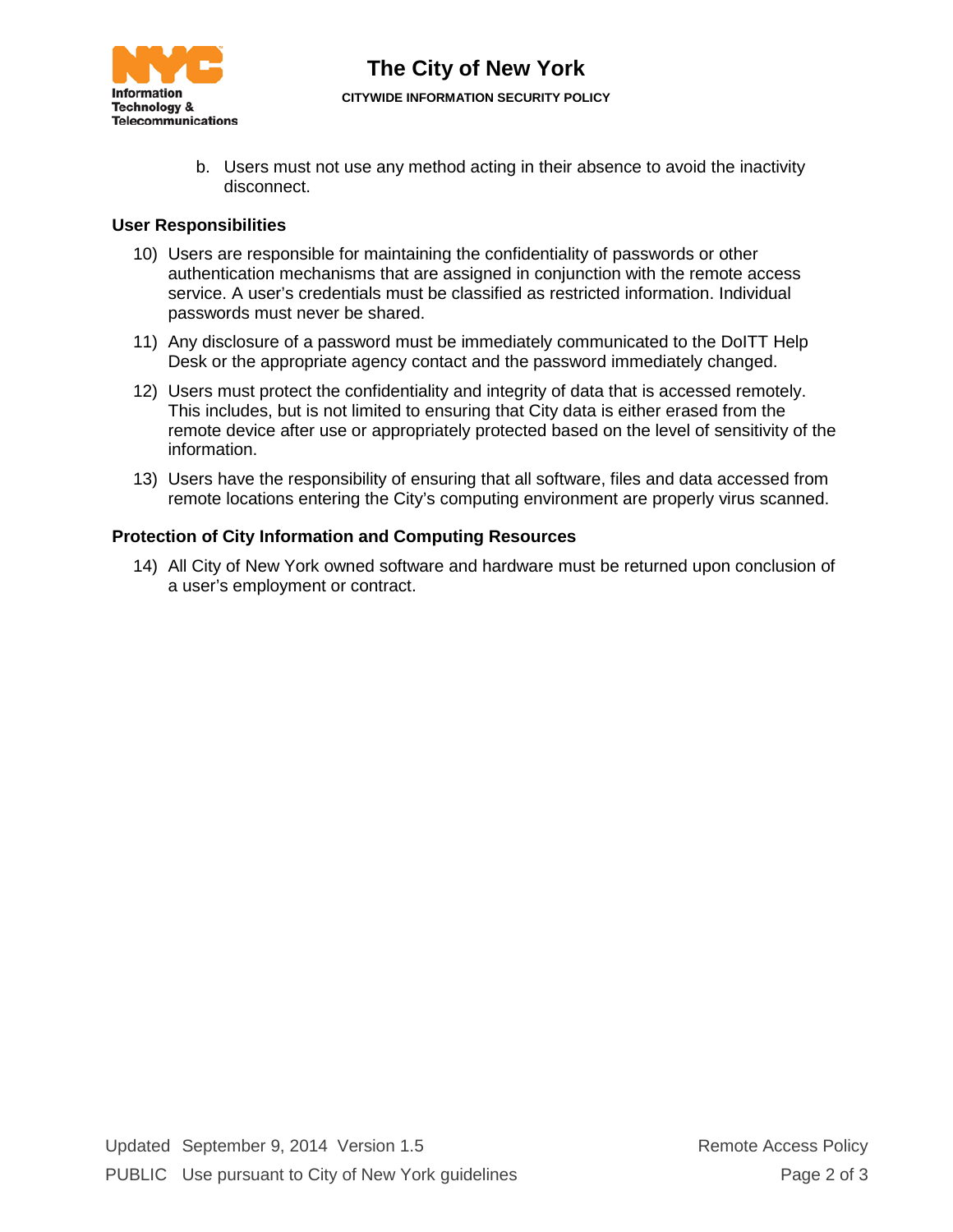

b. Users must not use any method acting in their absence to avoid the inactivity disconnect.

## **User Responsibilities**

- 10) Users are responsible for maintaining the confidentiality of passwords or other authentication mechanisms that are assigned in conjunction with the remote access service. A user's credentials must be classified as restricted information. Individual passwords must never be shared.
- 11) Any disclosure of a password must be immediately communicated to the DoITT Help Desk or the appropriate agency contact and the password immediately changed.
- 12) Users must protect the confidentiality and integrity of data that is accessed remotely. This includes, but is not limited to ensuring that City data is either erased from the remote device after use or appropriately protected based on the level of sensitivity of the information.
- 13) Users have the responsibility of ensuring that all software, files and data accessed from remote locations entering the City's computing environment are properly virus scanned.

## **Protection of City Information and Computing Resources**

14) All City of New York owned software and hardware must be returned upon conclusion of a user's employment or contract.